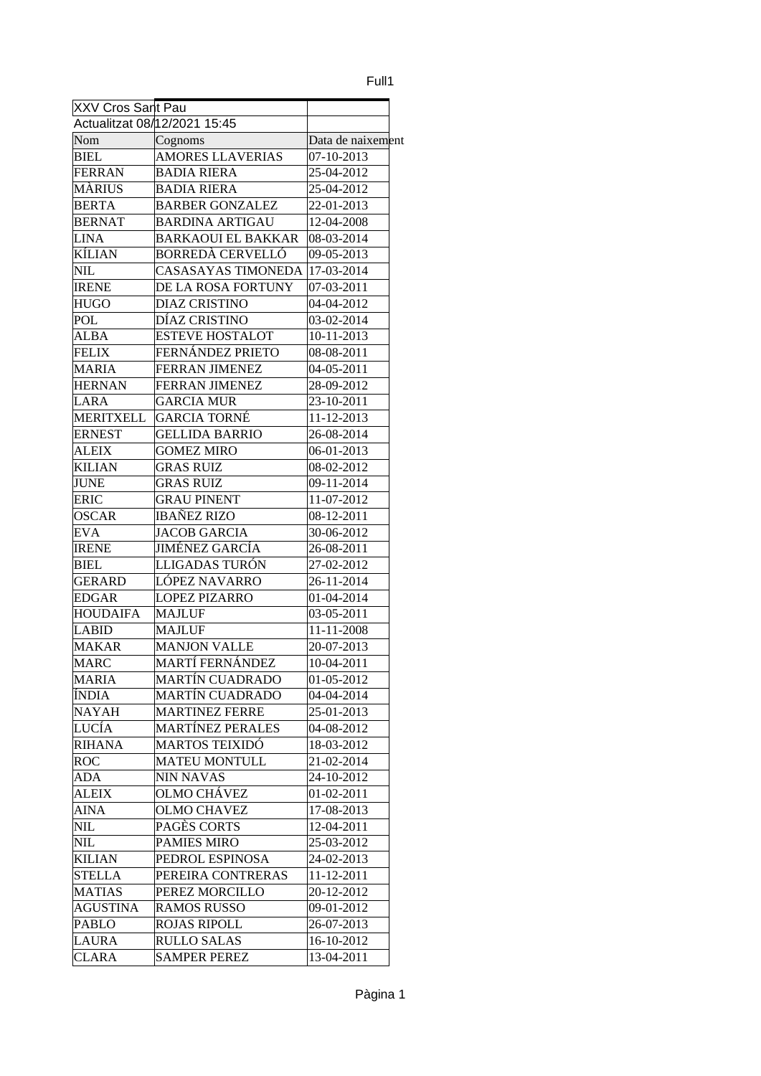## Full1

| XXV Cros Sant Pau   |                              |                   |
|---------------------|------------------------------|-------------------|
|                     | Actualitzat 08/12/2021 15:45 |                   |
| Nom                 | Cognoms                      | Data de naixement |
| <b>BIEL</b>         | <b>AMORES LLAVERIAS</b>      | 07-10-2013        |
| FERRAN              | <b>BADIA RIERA</b>           | 25-04-2012        |
| MÀRIUS              | BADIA RIERA                  | 25-04-2012        |
| <b>BERTA</b>        | <b>BARBER GONZALEZ</b>       | 22-01-2013        |
| <b>BERNAT</b>       | <b>BARDINA ARTIGAU</b>       | 12-04-2008        |
| LINA                | <b>BARKAOUI EL BAKKAR</b>    | 08-03-2014        |
| KÍLIAN              | <b>BORREDÀ CERVELLÓ</b>      | 09-05-2013        |
| <b>NIL</b>          | <b>CASASAYAS TIMONEDA</b>    | 17-03-2014        |
| <b>IRENE</b>        | DE LA ROSA FORTUNY           | 07-03-2011        |
| <b>HUGO</b>         | <b>DIAZ CRISTINO</b>         | 04-04-2012        |
| POL                 | DÍAZ CRISTINO                | 03-02-2014        |
| ALBA                | <b>ESTEVE HOSTALOT</b>       | 10-11-2013        |
| <b>FELIX</b>        | FERNÁNDEZ PRIETO             | 08-08-2011        |
| MARIA               | <b>FERRAN JIMENEZ</b>        | 04-05-2011        |
| HERNAN              | FERRAN JIMENEZ               | 28-09-2012        |
| LARA                | <b>GARCIA MUR</b>            | 23-10-2011        |
| <b>MERITXELL</b>    | GARCIA TORNÉ                 | 11-12-2013        |
| <b>ERNEST</b>       | <b>GELLIDA BARRIO</b>        | 26-08-2014        |
| <b>ALEIX</b>        | <b>GOMEZ MIRO</b>            | 06-01-2013        |
| KILIAN              | GRAS RUIZ                    | 08-02-2012        |
| JUNE                | <b>GRAS RUIZ</b>             | 09-11-2014        |
| ERIC                | <b>GRAU PINENT</b>           | 11-07-2012        |
| OSCAR               | <b>IBAÑEZ RIZO</b>           | 08-12-2011        |
| EVA                 | <b>JACOB GARCIA</b>          | 30-06-2012        |
| <b>IRENE</b>        | JIMÉNEZ GARCÍA               | 26-08-2011        |
| <b>BIEL</b>         | LLIGADAS TURÓN               | 27-02-2012        |
| GERARD              | LÓPEZ NAVARRO                | 26-11-2014        |
| <b>EDGAR</b>        | <b>LOPEZ PIZARRO</b>         | 01-04-2014        |
| <b>HOUDAIFA</b>     | MAJLUF                       | 03-05-2011        |
| LABID               | <b>MAJLUF</b>                | 11-11-2008        |
| <b>MAKAR</b>        | <b>MANJON VALLE</b>          | 20-07-2013        |
| <b>MARC</b>         | MARTÍ FERNÁNDEZ              | 10-04-2011        |
| <b>MARIA</b>        | <b>MARTÍN CUADRADO</b>       | 01-05-2012        |
| ÍNDIA               | <b>MARTÍN CUADRADO</b>       | 04-04-2014        |
| <b>NAYAH</b>        | <b>MARTINEZ FERRE</b>        | 25-01-2013        |
| LUCÍA               | <b>MARTÍNEZ PERALES</b>      | 04-08-2012        |
| <b>RIHANA</b>       | <b>MARTOS TEIXIDÓ</b>        | 18-03-2012        |
|                     | <b>MATEU MONTULL</b>         |                   |
| ROC                 | <b>NIN NAVAS</b>             | 21-02-2014        |
| ADA<br><b>ALEIX</b> | OLMO CHÁVEZ                  | 24-10-2012        |
|                     |                              | 01-02-2011        |
| <b>AINA</b>         | <b>OLMO CHAVEZ</b>           | 17-08-2013        |
| NIL                 | PAGÈS CORTS                  | 12-04-2011        |
| NIL                 | <b>PAMIES MIRO</b>           | 25-03-2012        |
| <b>KILIAN</b>       | PEDROL ESPINOSA              | 24-02-2013        |
| <b>STELLA</b>       | PEREIRA CONTRERAS            | 11-12-2011        |
| <b>MATIAS</b>       | PEREZ MORCILLO               | 20-12-2012        |
| <b>AGUSTINA</b>     | <b>RAMOS RUSSO</b>           | 09-01-2012        |
| PABLO               | <b>ROJAS RIPOLL</b>          | 26-07-2013        |
| <b>LAURA</b>        | <b>RULLO SALAS</b>           | 16-10-2012        |
| <b>CLARA</b>        | <b>SAMPER PEREZ</b>          | 13-04-2011        |